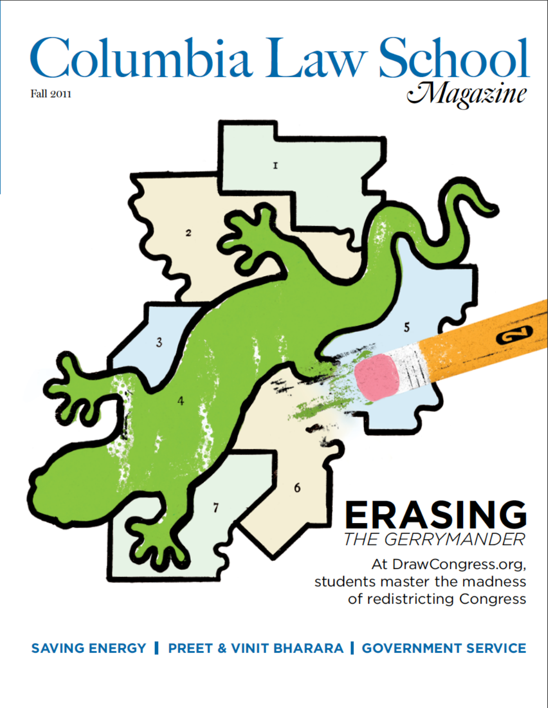# Columbia Law School



students master the madness of redistricting Congress

### SAVING ENERGY | PREET & VINIT BHARARA | GOVERNMENT SERVICE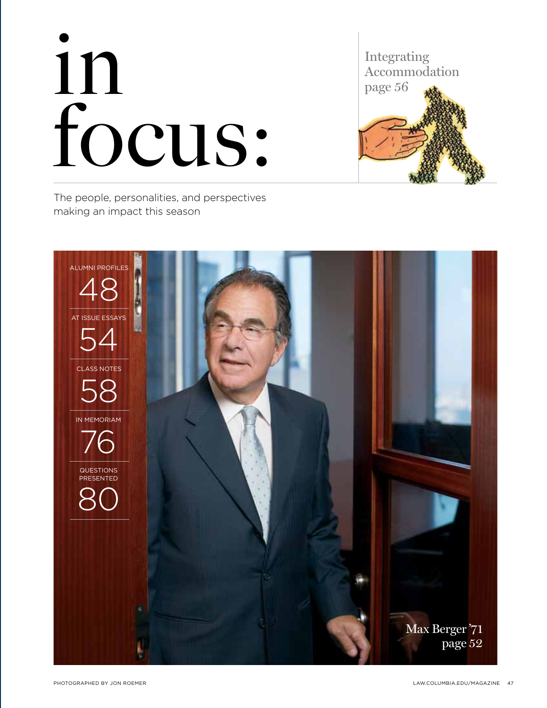## in focus:

Integrating Accommodation page 56

The people, personalities, and perspectives making an impact this season

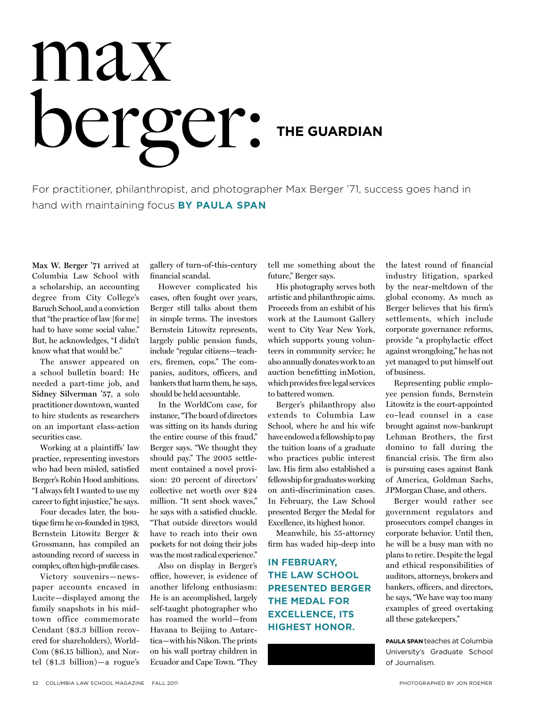## max berger: The Guardian

For practitioner, philanthropist, and photographer Max Berger '71, success goes hand in hand with maintaining focus **By Paula Span**

**Max W. Berger '71** arrived at Columbia Law School with a scholarship, an accounting degree from City College's Baruch School, and a conviction that "the practice of law [for me] had to have some social value." But, he acknowledges, "I didn't know what that would be."

The answer appeared on a school bulletin board: He needed a part-time job, and **Sidney Silverman '57**, a solo practitioner downtown, wanted to hire students as researchers on an important class-action securities case.

Working at a plaintiffs' law practice, representing investors who had been misled, satisfied Berger's Robin Hood ambitions. "I always felt I wanted to use my career to fight injustice," he says.

Four decades later, the boutique firm he co-founded in 1983, Bernstein Litowitz Berger & Grossmann, has compiled an astounding record of success in complex, often high-profile cases.

Victory souvenirs—newspaper accounts encased in Lucite—displayed among the family snapshots in his midtown office commemorate Cendant (\$3.3 billion recovered for shareholders), World-Com (\$6.15 billion), and Nortel (\$1.3 billion)—a rogue's

gallery of turn-of-this-century financial scandal.

However complicated his cases, often fought over years, Berger still talks about them in simple terms. The investors Bernstein Litowitz represents, largely public pension funds, include "regular citizens—teachers, firemen, cops." The companies, auditors, officers, and bankers that harm them, he says, should be held accountable.

In the WorldCom case, for instance, "The board of directors was sitting on its hands during the entire course of this fraud," Berger says. "We thought they should pay." The 2005 settlement contained a novel provision: 20 percent of directors' collective net worth over \$24 million. "It sent shock waves," he says with a satisfied chuckle. "That outside directors would have to reach into their own pockets for not doing their jobs was the most radical experience."

Also on display in Berger's office, however, is evidence of another lifelong enthusiasm: He is an accomplished, largely self-taught photographer who has roamed the world—from Havana to Beijing to Antarctica—with his Nikon. The prints on his wall portray children in Ecuador and Cape Town. "They tell me something about the future," Berger says.

His photography serves both artistic and philanthropic aims. Proceeds from an exhibit of his work at the Laumont Gallery went to City Year New York, which supports young volunteers in community service; he also annually donates work to an auction benefitting inMotion, which provides free legal services to battered women.

Berger's philanthropy also extends to Columbia Law School, where he and his wife have endowed a fellowship to pay the tuition loans of a graduate who practices public interest law. His firm also established a fellowship for graduates working on anti-discrimination cases. In February, the Law School presented Berger the Medal for Excellence, its highest honor.

Meanwhile, his 55-attorney firm has waded hip-deep into

**In February, the Law School presented Berger the Medal for Excellence, its highest honor.**

the latest round of financial industry litigation, sparked by the near-meltdown of the global economy. As much as Berger believes that his firm's settlements, which include corporate governance reforms, provide "a prophylactic effect against wrongdoing," he has not yet managed to put himself out of business.

Representing public employee pension funds, Bernstein Litowitz is the court-appointed co–lead counsel in a case brought against now-bankrupt Lehman Brothers, the first domino to fall during the financial crisis. The firm also is pursuing cases against Bank of America, Goldman Sachs, JPMorgan Chase, and others.

Berger would rather see government regulators and prosecutors compel changes in corporate behavior. Until then, he will be a busy man with no plans to retire. Despite the legal and ethical responsibilities of auditors, attorneys, brokers and bankers, officers, and directors, he says, "We have way too many examples of greed overtaking all these gatekeepers."

**Paula Span** teaches at Columbia University's Graduate School of Journalism.